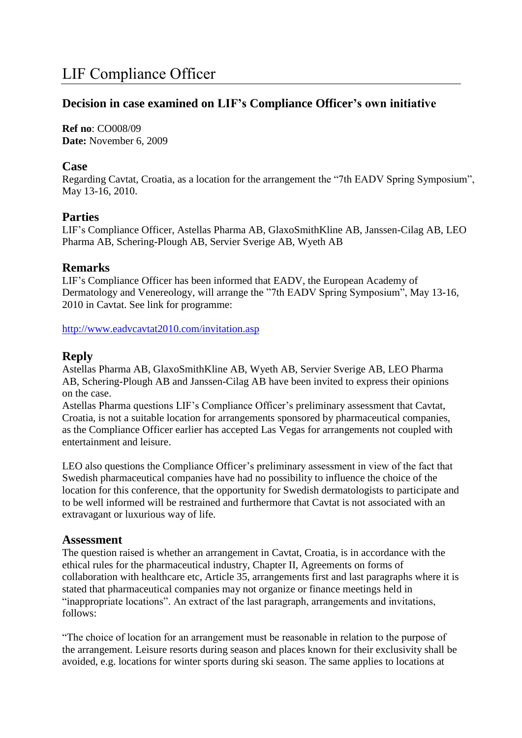# **Decision in case examined on LIF's Compliance Officer's own initiative**

**Ref no**: CO008/09 **Date:** November 6, 2009

#### **Case**

Regarding Cavtat, Croatia, as a location for the arrangement the "7th EADV Spring Symposium", May 13-16, 2010.

## **Parties**

LIF's Compliance Officer, Astellas Pharma AB, GlaxoSmithKline AB, Janssen-Cilag AB, LEO Pharma AB, Schering-Plough AB, Servier Sverige AB, Wyeth AB

## **Remarks**

LIF's Compliance Officer has been informed that EADV, the European Academy of Dermatology and Venereology, will arrange the "7th EADV Spring Symposium", May 13-16, 2010 in Cavtat. See link for programme:

<http://www.eadvcavtat2010.com/invitation.asp>

## **Reply**

Astellas Pharma AB, GlaxoSmithKline AB, Wyeth AB, Servier Sverige AB, LEO Pharma AB, Schering-Plough AB and Janssen-Cilag AB have been invited to express their opinions on the case.

Astellas Pharma questions LIF's Compliance Officer's preliminary assessment that Cavtat, Croatia, is not a suitable location for arrangements sponsored by pharmaceutical companies, as the Compliance Officer earlier has accepted Las Vegas for arrangements not coupled with entertainment and leisure.

LEO also questions the Compliance Officer's preliminary assessment in view of the fact that Swedish pharmaceutical companies have had no possibility to influence the choice of the location for this conference, that the opportunity for Swedish dermatologists to participate and to be well informed will be restrained and furthermore that Cavtat is not associated with an extravagant or luxurious way of life.

#### **Assessment**

The question raised is whether an arrangement in Cavtat, Croatia, is in accordance with the ethical rules for the pharmaceutical industry, Chapter II, Agreements on forms of collaboration with healthcare etc, Article 35, arrangements first and last paragraphs where it is stated that pharmaceutical companies may not organize or finance meetings held in "inappropriate locations". An extract of the last paragraph, arrangements and invitations, follows:

"The choice of location for an arrangement must be reasonable in relation to the purpose of the arrangement. Leisure resorts during season and places known for their exclusivity shall be avoided, e.g. locations for winter sports during ski season. The same applies to locations at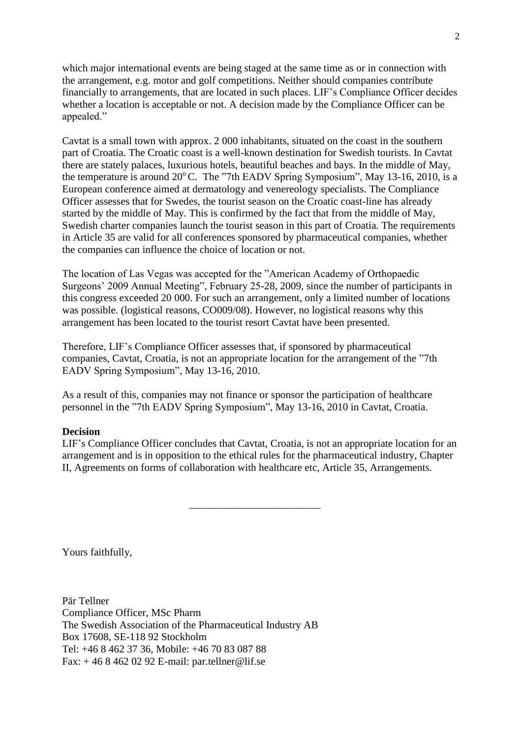which major international events are being staged at the same time as or in connection with the arrangement, e.g. motor and golf competitions. Neither should companies contribute financially to arrangements, that are located in such places. LIF's Compliance Officer decides whether a location is acceptable or not. A decision made by the Compliance Officer can be appealed."

Cavtat is a small town with approx. 2 000 inhabitants, situated on the coast in the southern part of Croatia. The Croatic coast is a well-known destination for Swedish tourists. In Cavtat there are stately palaces, luxurious hotels, beautiful beaches and bays. In the middle of May, the temperature is around 20°C. The "7th EADV Spring Symposium", May 13-16, 2010, is a European conference aimed at dermatology and venereology specialists. The Compliance Officer assesses that for Swedes, the tourist season on the Croatic coast-line has already started by the middle of May. This is confirmed by the fact that from the middle of May, Swedish charter companies launch the tourist season in this part of Croatia. The requirements in Article 35 are valid for all conferences sponsored by pharmaceutical companies, whether the companies can influence the choice of location or not.

The location of Las Vegas was accepted for the "American Academy of Orthopaedic Surgeons' 2009 Annual Meeting", February 25-28, 2009, since the number of participants in this congress exceeded 20 000. For such an arrangement, only a limited number of locations was possible. (logistical reasons, CO009/08). However, no logistical reasons why this arrangement has been located to the tourist resort Cavtat have been presented.

Therefore, LIF's Compliance Officer assesses that, if sponsored by pharmaceutical companies, Cavtat, Croatia, is not an appropriate location for the arrangement of the "7th EADV Spring Symposium", May 13-16, 2010.

As a result of this, companies may not finance or sponsor the participation of healthcare personnel in the "7th EADV Spring Symposium", May 13-16, 2010 in Cavtat, Croatia.

#### **Decision**

LIF's Compliance Officer concludes that Cavtat, Croatia, is not an appropriate location for an arrangement and is in opposition to the ethical rules for the pharmaceutical industry, Chapter II, Agreements on forms of collaboration with healthcare etc, Article 35, Arrangements.

\_\_\_\_\_\_\_\_\_\_\_\_\_\_\_\_\_\_\_\_\_\_\_\_\_

Yours faithfully,

Pär Tellner Compliance Officer, MSc Pharm The Swedish Association of the Pharmaceutical Industry AB Box 17608, SE-118 92 Stockholm Tel: +46 8 462 37 36, Mobile: +46 70 83 087 88 Fax: + 46 8 462 02 92 E-mail: par.tellner@lif.se